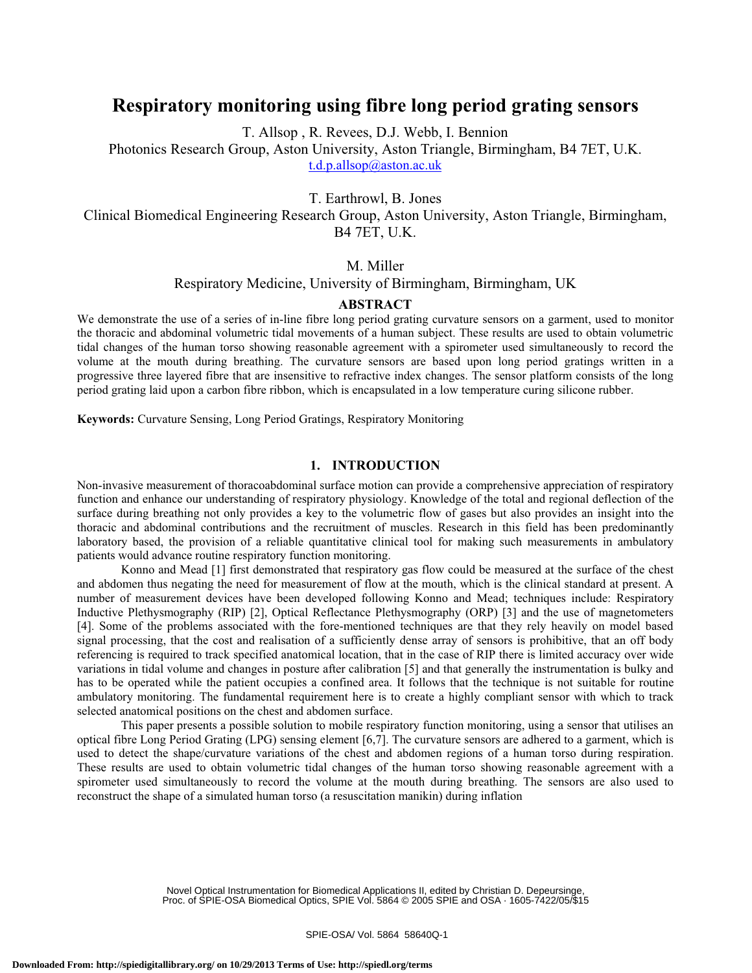# **Respiratory monitoring using fibre long period grating sensors**

T. Allsop , R. Revees, D.J. Webb, I. Bennion

Photonics Research Group, Aston University, Aston Triangle, Birmingham, B4 7ET, U.K. t.d.p.allsop@aston.ac.uk

T. Earthrowl, B. Jones

Clinical Biomedical Engineering Research Group, Aston University, Aston Triangle, Birmingham, B4 7ET, U.K.

# M. Miller

#### Respiratory Medicine, University of Birmingham, Birmingham, UK

## **ABSTRACT**

We demonstrate the use of a series of in-line fibre long period grating curvature sensors on a garment, used to monitor the thoracic and abdominal volumetric tidal movements of a human subject. These results are used to obtain volumetric tidal changes of the human torso showing reasonable agreement with a spirometer used simultaneously to record the volume at the mouth during breathing. The curvature sensors are based upon long period gratings written in a progressive three layered fibre that are insensitive to refractive index changes. The sensor platform consists of the long period grating laid upon a carbon fibre ribbon, which is encapsulated in a low temperature curing silicone rubber.

**Keywords:** Curvature Sensing, Long Period Gratings, Respiratory Monitoring

## **1. INTRODUCTION**

Non-invasive measurement of thoracoabdominal surface motion can provide a comprehensive appreciation of respiratory function and enhance our understanding of respiratory physiology. Knowledge of the total and regional deflection of the surface during breathing not only provides a key to the volumetric flow of gases but also provides an insight into the thoracic and abdominal contributions and the recruitment of muscles. Research in this field has been predominantly laboratory based, the provision of a reliable quantitative clinical tool for making such measurements in ambulatory patients would advance routine respiratory function monitoring.

Konno and Mead [1] first demonstrated that respiratory gas flow could be measured at the surface of the chest and abdomen thus negating the need for measurement of flow at the mouth, which is the clinical standard at present. A number of measurement devices have been developed following Konno and Mead; techniques include: Respiratory Inductive Plethysmography (RIP) [2], Optical Reflectance Plethysmography (ORP) [3] and the use of magnetometers [4]. Some of the problems associated with the fore-mentioned techniques are that they rely heavily on model based signal processing, that the cost and realisation of a sufficiently dense array of sensors is prohibitive, that an off body referencing is required to track specified anatomical location, that in the case of RIP there is limited accuracy over wide variations in tidal volume and changes in posture after calibration [5] and that generally the instrumentation is bulky and has to be operated while the patient occupies a confined area. It follows that the technique is not suitable for routine ambulatory monitoring. The fundamental requirement here is to create a highly compliant sensor with which to track selected anatomical positions on the chest and abdomen surface.

This paper presents a possible solution to mobile respiratory function monitoring, using a sensor that utilises an optical fibre Long Period Grating (LPG) sensing element [6,7]. The curvature sensors are adhered to a garment, which is used to detect the shape/curvature variations of the chest and abdomen regions of a human torso during respiration. These results are used to obtain volumetric tidal changes of the human torso showing reasonable agreement with a spirometer used simultaneously to record the volume at the mouth during breathing. The sensors are also used to reconstruct the shape of a simulated human torso (a resuscitation manikin) during inflation

> Novel Optical Instrumentation for Biomedical Applications II, edited by Christian D. Depeursinge, Proc. of SPIE-OSA Biomedical Optics, SPIE Vol. 5864 © 2005 SPIE and OSA · 1605-7422/05/\$15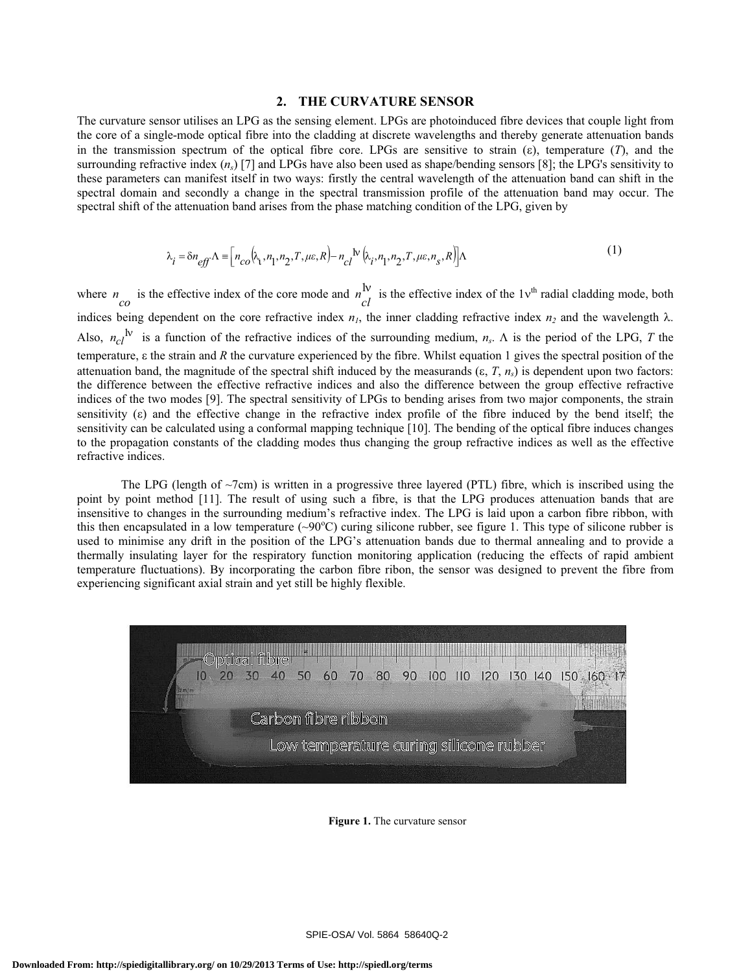#### **2. THE CURVATURE SENSOR**

The curvature sensor utilises an LPG as the sensing element. LPGs are photoinduced fibre devices that couple light from the core of a single-mode optical fibre into the cladding at discrete wavelengths and thereby generate attenuation bands in the transmission spectrum of the optical fibre core. LPGs are sensitive to strain  $(\varepsilon)$ , temperature  $(T)$ , and the surrounding refractive index  $(n<sub>s</sub>)$  [7] and LPGs have also been used as shape/bending sensors [8]; the LPG's sensitivity to these parameters can manifest itself in two ways: firstly the central wavelength of the attenuation band can shift in the spectral domain and secondly a change in the spectral transmission profile of the attenuation band may occur. The spectral shift of the attenuation band arises from the phase matching condition of the LPG, given by

$$
\lambda_i = \delta n_{eff} \Lambda \equiv \left[ n_{co} \left( \lambda_i, n_1, n_2, T, \mu \varepsilon, R \right) - n_{cl} N \left( \lambda_i, n_1, n_2, T, \mu \varepsilon, n_s, R \right) \right] \Lambda \tag{1}
$$

where  $n$  is the effective index of the core mode and  $n\frac{dv}{dt}$  is the effective index of the 1 $v<sup>th</sup>$  radial cladding mode, both indices being dependent on the core refractive index  $n_1$ , the inner cladding refractive index  $n_2$  and the wavelength  $\lambda$ . Also,  $n_{c1}$ <sup>Iv</sup> is a function of the refractive indices of the surrounding medium,  $n_s$ .  $\Lambda$  is the period of the LPG, *T* the temperature,  $\varepsilon$  the strain and  $R$  the curvature experienced by the fibre. Whilst equation 1 gives the spectral position of the attenuation band, the magnitude of the spectral shift induced by the measurands  $(\varepsilon, T, n<sub>s</sub>)$  is dependent upon two factors: the difference between the effective refractive indices and also the difference between the group effective refractive indices of the two modes [9]. The spectral sensitivity of LPGs to bending arises from two major components, the strain sensitivity  $(\epsilon)$  and the effective change in the refractive index profile of the fibre induced by the bend itself; the sensitivity can be calculated using a conformal mapping technique [10]. The bending of the optical fibre induces changes to the propagation constants of the cladding modes thus changing the group refractive indices as well as the effective refractive indices.

The LPG (length of  $\sim$ 7cm) is written in a progressive three layered (PTL) fibre, which is inscribed using the point by point method [11]. The result of using such a fibre, is that the LPG produces attenuation bands that are insensitive to changes in the surrounding medium's refractive index. The LPG is laid upon a carbon fibre ribbon, with this then encapsulated in a low temperature  $(\sim 90^{\circ}C)$  curing silicone rubber, see figure 1. This type of silicone rubber is used to minimise any drift in the position of the LPG's attenuation bands due to thermal annealing and to provide a thermally insulating layer for the respiratory function monitoring application (reducing the effects of rapid ambient temperature fluctuations). By incorporating the carbon fibre ribon, the sensor was designed to prevent the fibre from experiencing significant axial strain and yet still be highly flexible.



**Figure 1.** The curvature sensor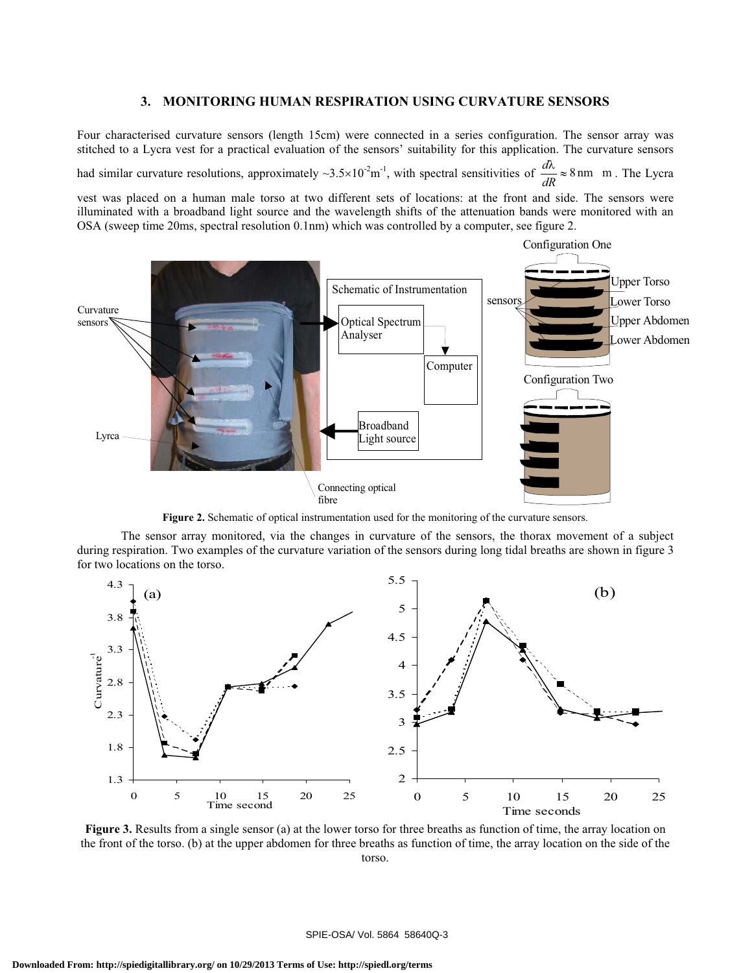## **3. MONITORING HUMAN RESPIRATION USING CURVATURE SENSORS**

Four characterised curvature sensors (length 15cm) were connected in a series configuration. The sensor array was stitched to a Lycra vest for a practical evaluation of the sensors' suitability for this application. The curvature sensors

had similar curvature resolutions, approximately  $\sim 3.5 \times 10^{-2}$ m<sup>-1</sup>, with spectral sensitivities of  $\frac{d\lambda}{dR} \approx 8$  nm m. The Lycra

vest was placed on a human male torso at two different sets of locations: at the front and side. The sensors were illuminated with a broadband light source and the wavelength shifts of the attenuation bands were monitored with an OSA (sweep time 20ms, spectral resolution 0.1nm) which was controlled by a computer, see figure 2.



**Figure 2.** Schematic of optical instrumentation used for the monitoring of the curvature sensors.

The sensor array monitored, via the changes in curvature of the sensors, the thorax movement of a subject during respiration. Two examples of the curvature variation of the sensors during long tidal breaths are shown in figure 3 for two locations on the torso.



**Figure 3.** Results from a single sensor (a) at the lower torso for three breaths as function of time, the array location on the front of the torso. (b) at the upper abdomen for three breaths as function of time, the array location on the side of the torso.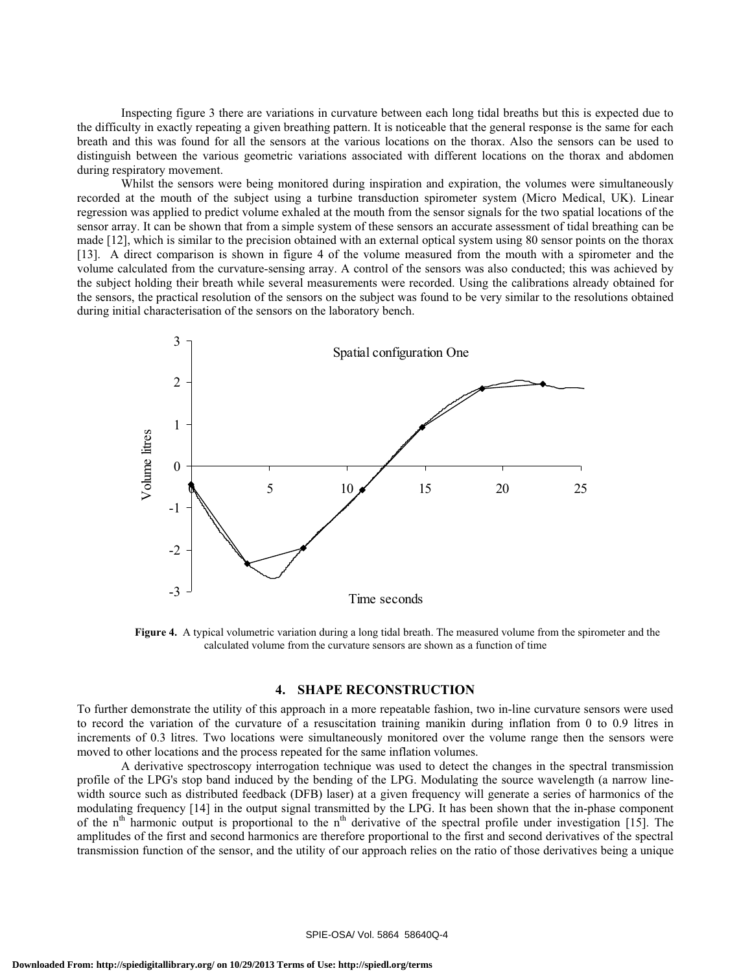Inspecting figure 3 there are variations in curvature between each long tidal breaths but this is expected due to the difficulty in exactly repeating a given breathing pattern. It is noticeable that the general response is the same for each breath and this was found for all the sensors at the various locations on the thorax. Also the sensors can be used to distinguish between the various geometric variations associated with different locations on the thorax and abdomen during respiratory movement.

Whilst the sensors were being monitored during inspiration and expiration, the volumes were simultaneously recorded at the mouth of the subject using a turbine transduction spirometer system (Micro Medical, UK). Linear regression was applied to predict volume exhaled at the mouth from the sensor signals for the two spatial locations of the sensor array. It can be shown that from a simple system of these sensors an accurate assessment of tidal breathing can be made [12], which is similar to the precision obtained with an external optical system using 80 sensor points on the thorax [13]. A direct comparison is shown in figure 4 of the volume measured from the mouth with a spirometer and the volume calculated from the curvature-sensing array. A control of the sensors was also conducted; this was achieved by the subject holding their breath while several measurements were recorded. Using the calibrations already obtained for the sensors, the practical resolution of the sensors on the subject was found to be very similar to the resolutions obtained during initial characterisation of the sensors on the laboratory bench.



**Figure 4.** A typical volumetric variation during a long tidal breath. The measured volume from the spirometer and the calculated volume from the curvature sensors are shown as a function of time

## **4. SHAPE RECONSTRUCTION**

To further demonstrate the utility of this approach in a more repeatable fashion, two in-line curvature sensors were used to record the variation of the curvature of a resuscitation training manikin during inflation from 0 to 0.9 litres in increments of 0.3 litres. Two locations were simultaneously monitored over the volume range then the sensors were moved to other locations and the process repeated for the same inflation volumes.

A derivative spectroscopy interrogation technique was used to detect the changes in the spectral transmission profile of the LPG's stop band induced by the bending of the LPG. Modulating the source wavelength (a narrow linewidth source such as distributed feedback (DFB) laser) at a given frequency will generate a series of harmonics of the modulating frequency [14] in the output signal transmitted by the LPG. It has been shown that the in-phase component of the  $n<sup>th</sup>$  harmonic output is proportional to the  $n<sup>th</sup>$  derivative of the spectral profile under investigation [15]. The amplitudes of the first and second harmonics are therefore proportional to the first and second derivatives of the spectral transmission function of the sensor, and the utility of our approach relies on the ratio of those derivatives being a unique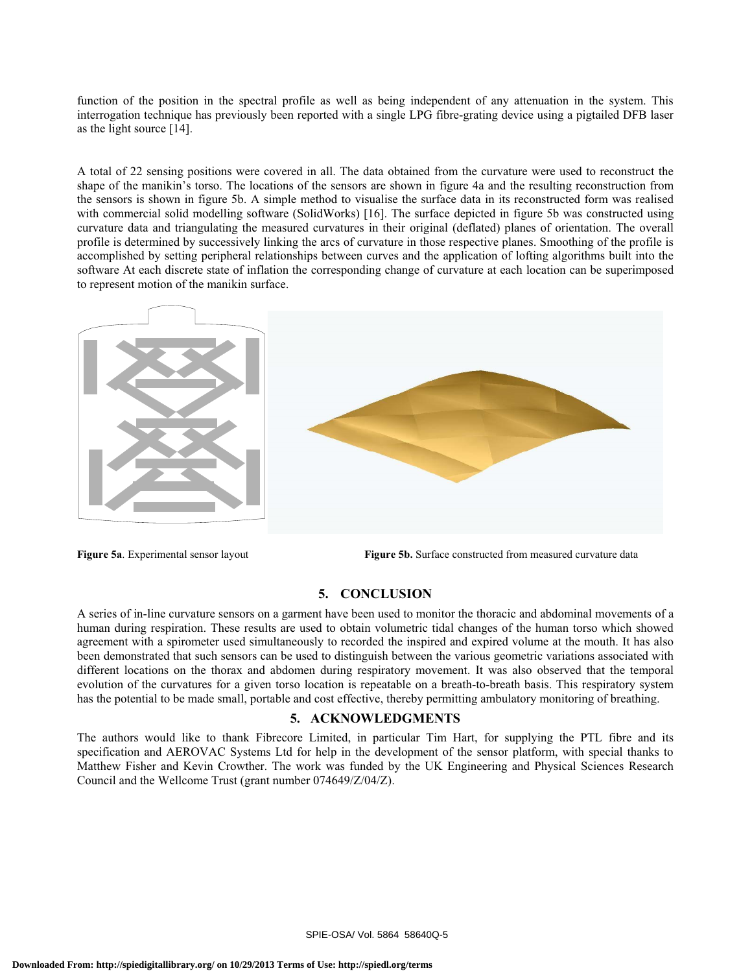function of the position in the spectral profile as well as being independent of any attenuation in the system. This interrogation technique has previously been reported with a single LPG fibre-grating device using a pigtailed DFB laser as the light source [14].

A total of 22 sensing positions were covered in all. The data obtained from the curvature were used to reconstruct the shape of the manikin's torso. The locations of the sensors are shown in figure 4a and the resulting reconstruction from the sensors is shown in figure 5b. A simple method to visualise the surface data in its reconstructed form was realised with commercial solid modelling software (SolidWorks) [16]. The surface depicted in figure 5b was constructed using curvature data and triangulating the measured curvatures in their original (deflated) planes of orientation. The overall profile is determined by successively linking the arcs of curvature in those respective planes. Smoothing of the profile is accomplished by setting peripheral relationships between curves and the application of lofting algorithms built into the software At each discrete state of inflation the corresponding change of curvature at each location can be superimposed to represent motion of the manikin surface.



**Figure 5a**. Experimental sensor layout **Figure 5b.** Surface constructed from measured curvature data

#### **5. CONCLUSION**

A series of in-line curvature sensors on a garment have been used to monitor the thoracic and abdominal movements of a human during respiration. These results are used to obtain volumetric tidal changes of the human torso which showed agreement with a spirometer used simultaneously to recorded the inspired and expired volume at the mouth. It has also been demonstrated that such sensors can be used to distinguish between the various geometric variations associated with different locations on the thorax and abdomen during respiratory movement. It was also observed that the temporal evolution of the curvatures for a given torso location is repeatable on a breath-to-breath basis. This respiratory system has the potential to be made small, portable and cost effective, thereby permitting ambulatory monitoring of breathing.

#### **5. ACKNOWLEDGMENTS**

The authors would like to thank Fibrecore Limited, in particular Tim Hart, for supplying the PTL fibre and its specification and AEROVAC Systems Ltd for help in the development of the sensor platform, with special thanks to Matthew Fisher and Kevin Crowther. The work was funded by the UK Engineering and Physical Sciences Research Council and the Wellcome Trust (grant number 074649/Z/04/Z).